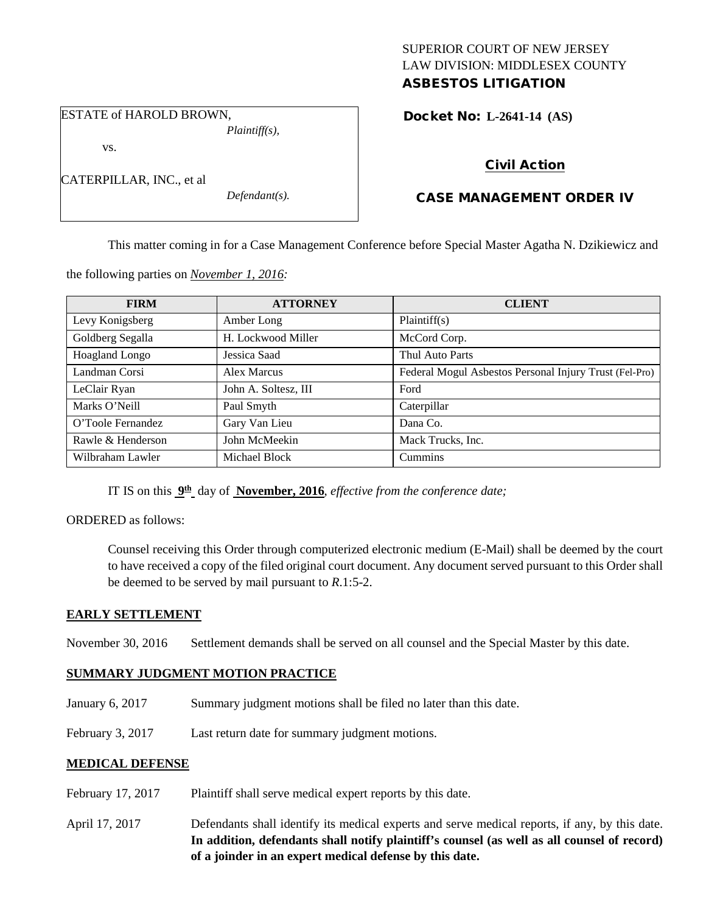## SUPERIOR COURT OF NEW JERSEY LAW DIVISION: MIDDLESEX COUNTY ASBESTOS LITIGATION

### ESTATE of HAROLD BROWN,

*Plaintiff(s),*

vs.

CATERPILLAR, INC., et al

*Defendant(s).*

# Docket No: **L-2641-14 (AS)**

# Civil Action

# CASE MANAGEMENT ORDER IV

This matter coming in for a Case Management Conference before Special Master Agatha N. Dzikiewicz and

the following parties on *November 1, 2016:*

| <b>FIRM</b>       | <b>ATTORNEY</b>      | <b>CLIENT</b>                                          |
|-------------------|----------------------|--------------------------------------------------------|
| Levy Konigsberg   | Amber Long           | Plaintiff(s)                                           |
| Goldberg Segalla  | H. Lockwood Miller   | McCord Corp.                                           |
| Hoagland Longo    | Jessica Saad         | Thul Auto Parts                                        |
| Landman Corsi     | Alex Marcus          | Federal Mogul Asbestos Personal Injury Trust (Fel-Pro) |
| LeClair Ryan      | John A. Soltesz, III | Ford                                                   |
| Marks O'Neill     | Paul Smyth           | Caterpillar                                            |
| O'Toole Fernandez | Gary Van Lieu        | Dana Co.                                               |
| Rawle & Henderson | John McMeekin        | Mack Trucks, Inc.                                      |
| Wilbraham Lawler  | Michael Block        | Cummins                                                |

IT IS on this **9th** day of **November, 2016**, *effective from the conference date;*

ORDERED as follows:

Counsel receiving this Order through computerized electronic medium (E-Mail) shall be deemed by the court to have received a copy of the filed original court document. Any document served pursuant to this Order shall be deemed to be served by mail pursuant to *R*.1:5-2.

## **EARLY SETTLEMENT**

November 30, 2016 Settlement demands shall be served on all counsel and the Special Master by this date.

## **SUMMARY JUDGMENT MOTION PRACTICE**

- January 6, 2017 Summary judgment motions shall be filed no later than this date.
- February 3, 2017 Last return date for summary judgment motions.

## **MEDICAL DEFENSE**

- February 17, 2017 Plaintiff shall serve medical expert reports by this date.
- April 17, 2017 Defendants shall identify its medical experts and serve medical reports, if any, by this date. **In addition, defendants shall notify plaintiff's counsel (as well as all counsel of record) of a joinder in an expert medical defense by this date.**